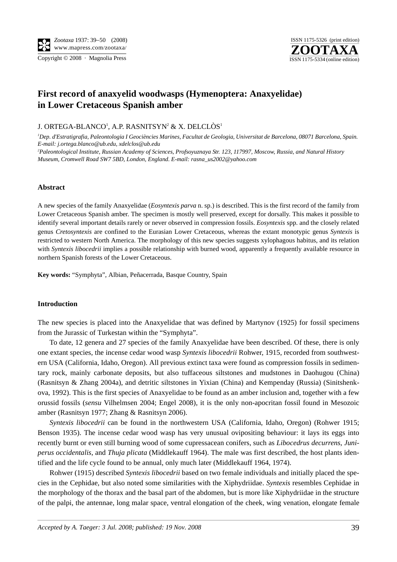

# **First record of anaxyelid woodwasps (Hymenoptera: Anaxyelidae) in Lower Cretaceous Spanish amber**

J. ORTEGA-BLANCO', A.P. RASNITSYN<del>'</del> & X. DELCLÒS'

*1 Dep. d'Estratigrafia, Paleontologia I Geociències Marines, Facultat de Geologia, Universitat de Barcelona, 08071 Barcelona, Spain. E-mail: j.ortega.blanco@ub.edu, xdelclos@ub.edu* 

*2 Paleontological Institute, Russian Academy of Sciences, Profsoyuznaya Str. 123, 117997, Moscow, Russia, and Natural History Museum, Cromwell Road SW7 5BD, London, England. E-mail: rasna\_us2002@yahoo.com*

#### **Abstract**

A new species of the family Anaxyelidae (*Eosyntexis parva* n. sp.) is described. This is the first record of the family from Lower Cretaceous Spanish amber. The specimen is mostly well preserved, except for dorsally. This makes it possible to identify several important details rarely or never observed in compression fossils. *Eosyntexis* spp. and the closely related genus *Cretosyntexis* are confined to the Eurasian Lower Cretaceous, whereas the extant monotypic genus *Syntexis* is restricted to western North America. The morphology of this new species suggests xylophagous habitus, and its relation with *Syntexis libocedrii* implies a possible relationship with burned wood, apparently a frequently available resource in northern Spanish forests of the Lower Cretaceous.

**Key words:** "Symphyta", Albian, Peñacerrada, Basque Country, Spain

## **Introduction**

The new species is placed into the Anaxyelidae that was defined by Martynov (1925) for fossil specimens from the Jurassic of Turkestan within the "Symphyta".

To date, 12 genera and 27 species of the family Anaxyelidae have been described. Of these, there is only one extant species, the incense cedar wood wasp *Syntexis libocedrii* Rohwer, 1915, recorded from southwestern USA (California, Idaho, Oregon). All previous extinct taxa were found as compression fossils in sedimentary rock, mainly carbonate deposits, but also tuffaceous siltstones and mudstones in Daohugou (China) (Rasnitsyn & Zhang 2004a), and detritic siltstones in Yixian (China) and Kempenday (Russia) (Sinitshenkova, 1992). This is the first species of Anaxyelidae to be found as an amber inclusion and, together with a few orussid fossils (*sensu* Vilhelmsen 2004; Engel 2008), it is the only non-apocritan fossil found in Mesozoic amber (Rasnitsyn 1977; Zhang & Rasnitsyn 2006).

*Syntexis libocedrii* can be found in the northwestern USA (California, Idaho, Oregon) (Rohwer 1915; Benson 1935). The incense cedar wood wasp has very unusual ovipositing behaviour: it lays its eggs into recently burnt or even still burning wood of some cupressacean conifers, such as *Libocedrus decurrens*, *Juniperus occidentalis*, and *Thuja plicata* (Middlekauff 1964). The male was first described, the host plants identified and the life cycle found to be annual, only much later (Middlekauff 1964, 1974).

Rohwer (1915) described *Syntexis libocedrii* based on two female individuals and initially placed the species in the Cephidae, but also noted some similarities with the Xiphydriidae. *Syntexis* resembles Cephidae in the morphology of the thorax and the basal part of the abdomen, but is more like Xiphydriidae in the structure of the palpi, the antennae, long malar space, ventral elongation of the cheek, wing venation, elongate female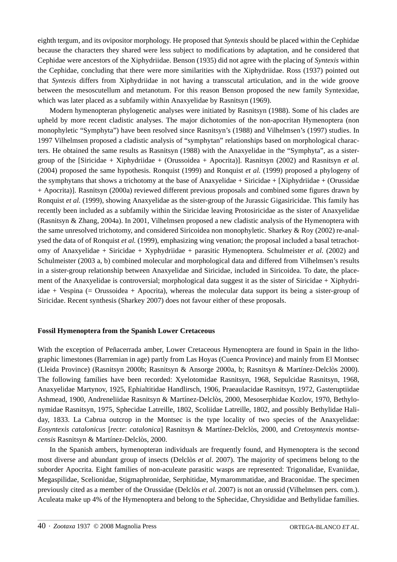eighth tergum, and its ovipositor morphology. He proposed that *Syntexis* should be placed within the Cephidae because the characters they shared were less subject to modifications by adaptation, and he considered that Cephidae were ancestors of the Xiphydriidae. Benson (1935) did not agree with the placing of *Syntexis* within the Cephidae, concluding that there were more similarities with the Xiphydriidae. Ross (1937) pointed out that *Syntexis* differs from Xiphydriidae in not having a transscutal articulation, and in the wide groove between the mesoscutellum and metanotum. For this reason Benson proposed the new family Syntexidae, which was later placed as a subfamily within Anaxyelidae by Rasnitsyn (1969).

Modern hymenopteran phylogenetic analyses were initiated by Rasnitsyn (1988). Some of his clades are upheld by more recent cladistic analyses. The major dichotomies of the non-apocritan Hymenoptera (non monophyletic "Symphyta") have been resolved since Rasnitsyn's (1988) and Vilhelmsen's (1997) studies. In 1997 Vilhelmsen proposed a cladistic analysis of "symphytan" relationships based on morphological characters. He obtained the same results as Rasnitsyn (1988) with the Anaxyelidae in the "Symphyta", as a sistergroup of the [Siricidae + Xiphydriidae + (Orussoidea + Apocrita)]. Rasnitsyn (2002) and Rasnitsyn *et al.* (2004) proposed the same hypothesis. Ronquist (1999) and Ronquist *et al.* (1999) proposed a phylogeny of the symphytans that shows a trichotomy at the base of Anaxyelidae + Siricidae + [Xiphydriidae + (Orussidae + Apocrita)]. Rasnitsyn (2000a) reviewed different previous proposals and combined some figures drawn by Ronquist *et al.* (1999), showing Anaxyelidae as the sister-group of the Jurassic Gigasiricidae. This family has recently been included as a subfamily within the Siricidae leaving Protosiricidae as the sister of Anaxyelidae (Rasnitsyn & Zhang, 2004a). In 2001, Vilhelmsen proposed a new cladistic analysis of the Hymenoptera with the same unresolved trichotomy, and considered Siricoidea non monophyletic. Sharkey & Roy (2002) re-analysed the data of of Ronquist *et al.* (1999), emphasizing wing venation; the proposal included a basal tetrachotomy of Anaxyelidae + Siricidae + Xyphydriidae + parasitic Hymenoptera. Schulmeister *et al.* (2002) and Schulmeister (2003 a, b) combined molecular and morphological data and differed from Vilhelmsen's results in a sister-group relationship between Anaxyelidae and Siricidae, included in Siricoidea. To date, the placement of the Anaxyelidae is controversial; morphological data suggest it as the sister of Siricidae + Xiphydriidae + Vespina (= Orussoidea + Apocrita), whereas the molecular data support its being a sister-group of Siricidae. Recent synthesis (Sharkey 2007) does not favour either of these proposals.

## **Fossil Hymenoptera from the Spanish Lower Cretaceous**

With the exception of Peñacerrada amber, Lower Cretaceous Hymenoptera are found in Spain in the lithographic limestones (Barremian in age) partly from Las Hoyas (Cuenca Province) and mainly from El Montsec (Lleida Province) (Rasnitsyn 2000b; Rasnitsyn & Ansorge 2000a, b; Rasnitsyn & Martínez-Delclòs 2000). The following families have been recorded: Xyelotomidae Rasnitsyn, 1968, Sepulcidae Rasnitsyn, 1968, Anaxyelidae Martynov, 1925, Ephialtitidae Handlirsch, 1906, Praeaulacidae Rasnitsyn, 1972, Gasteruptiidae Ashmead, 1900, Andreneliidae Rasnitsyn & Martínez-Delclòs, 2000, Mesoserphidae Kozlov, 1970, Bethylonymidae Rasnitsyn, 1975, Sphecidae Latreille, 1802, Scoliidae Latreille, 1802, and possibly Bethylidae Haliday, 1833. La Cabrua outcrop in the Montsec is the type locality of two species of the Anaxyelidae: *Eosyntexis catalonicus* [*recte*: *catalonica*] Rasnitsyn & Martínez-Delclòs, 2000, and *Cretosyntexis montsecensis* Rasnitsyn & Martínez-Delclòs, 2000.

In the Spanish ambers, hymenopteran individuals are frequently found, and Hymenoptera is the second most diverse and abundant group of insects (Delclòs *et al.* 2007). The majority of specimens belong to the suborder Apocrita. Eight families of non-aculeate parasitic wasps are represented: Trigonalidae, Evaniidae, Megaspilidae, Scelionidae, Stigmaphronidae, Serphitidae, Mymarommatidae, and Braconidae. The specimen previously cited as a member of the Orussidae (Delclòs *et al.* 2007) is not an orussid (Vilhelmsen pers. com.). Aculeata make up 4% of the Hymenoptera and belong to the Sphecidae, Chrysididae and Bethylidae families.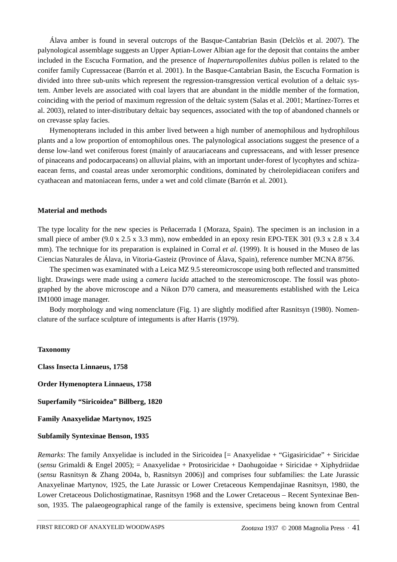Álava amber is found in several outcrops of the Basque-Cantabrian Basin (Delclòs et al. 2007). The palynological assemblage suggests an Upper Aptian-Lower Albian age for the deposit that contains the amber included in the Escucha Formation, and the presence of *Inaperturopollenites dubius* pollen is related to the conifer family Cupressaceae (Barrón et al. 2001). In the Basque-Cantabrian Basin, the Escucha Formation is divided into three sub-units which represent the regression-transgression vertical evolution of a deltaic system. Amber levels are associated with coal layers that are abundant in the middle member of the formation, coinciding with the period of maximum regression of the deltaic system (Salas et al. 2001; Martínez-Torres et al. 2003), related to inter-distributary deltaic bay sequences, associated with the top of abandoned channels or on crevasse splay facies.

Hymenopterans included in this amber lived between a high number of anemophilous and hydrophilous plants and a low proportion of entomophilous ones. The palynological associations suggest the presence of a dense low-land wet coniferous forest (mainly of araucariaceans and cupressaceans, and with lesser presence of pinaceans and podocarpaceans) on alluvial plains, with an important under-forest of lycophytes and schizaeacean ferns, and coastal areas under xeromorphic conditions, dominated by cheirolepidiacean conifers and cyathacean and matoniacean ferns, under a wet and cold climate (Barrón et al. 2001).

## **Material and methods**

The type locality for the new species is Peñacerrada I (Moraza, Spain). The specimen is an inclusion in a small piece of amber (9.0 x 2.5 x 3.3 mm), now embedded in an epoxy resin EPO-TEK 301 (9.3 x 2.8 x 3.4 mm). The technique for its preparation is explained in Corral *et al*. (1999). It is housed in the Museo de las Ciencias Naturales de Álava, in Vitoria-Gasteiz (Province of Álava, Spain), reference number MCNA 8756.

The specimen was examinated with a Leica MZ 9.5 stereomicroscope using both reflected and transmitted light. Drawings were made using a *camera lucida* attached to the stereomicroscope. The fossil was photographed by the above microscope and a Nikon D70 camera, and measurements established with the Leica IM1000 image manager.

Body morphology and wing nomenclature (Fig. 1) are slightly modified after Rasnitsyn (1980). Nomenclature of the surface sculpture of integuments is after Harris (1979).

#### **Taxonomy**

**Class Insecta Linnaeus, 1758**

**Order Hymenoptera Linnaeus, 1758**

**Superfamily "Siricoidea" Billberg, 1820**

**Family Anaxyelidae Martynov, 1925**

#### **Subfamily Syntexinae Benson, 1935**

*Remarks*: The family Anxyelidae is included in the Siricoidea [= Anaxyelidae + "Gigasiricidae" + Siricidae (*sensu* Grimaldi & Engel 2005); = Anaxyelidae + Protosiricidae + Daohugoidae + Siricidae + Xiphydriidae (*sensu* Rasnitsyn & Zhang 2004a, b, Rasnitsyn 2006)] and comprises four subfamilies: the Late Jurassic Anaxyelinae Martynov, 1925, the Late Jurassic or Lower Cretaceous Kempendajinae Rasnitsyn, 1980, the Lower Cretaceous Dolichostigmatinae, Rasnitsyn 1968 and the Lower Cretaceous – Recent Syntexinae Benson, 1935. The palaeogeographical range of the family is extensive, specimens being known from Central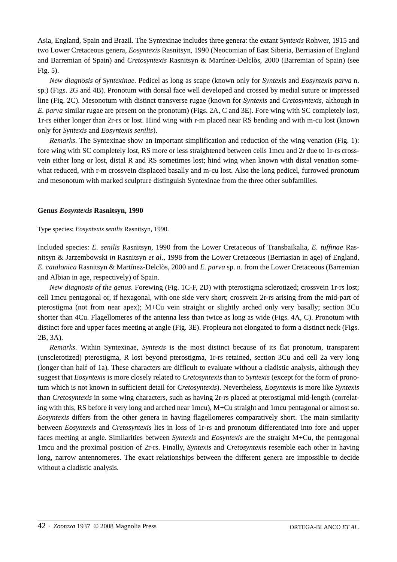Asia, England, Spain and Brazil. The Syntexinae includes three genera: the extant *Syntexis* Rohwer, 1915 and two Lower Cretaceous genera, *Eosyntexis* Rasnitsyn, 1990 (Neocomian of East Siberia, Berriasian of England and Barremian of Spain) and *Cretosyntexis* Rasnitsyn & Martínez-Delclòs, 2000 (Barremian of Spain) (see Fig. 5).

*New diagnosis of Syntexinae.* Pedicel as long as scape (known only for *Syntexis* and *Eosyntexis parva* n. sp.) (Figs. 2G and 4B). Pronotum with dorsal face well developed and crossed by medial suture or impressed line (Fig. 2C). Mesonotum with distinct transverse rugae (known for *Syntexis* and *Cretosyntexis*, although in *E. parva* similar rugae are present on the pronotum) (Figs. 2A, C and 3E). Fore wing with SC completely lost, 1r-rs either longer than 2r-rs or lost. Hind wing with r-m placed near RS bending and with m-cu lost (known only for *Syntexis* and *Eosyntexis senilis*).

*Remarks*. The Syntexinae show an important simplification and reduction of the wing venation (Fig. 1): fore wing with SC completely lost, RS more or less straightened between cells 1mcu and 2r due to 1r-rs crossvein either long or lost, distal R and RS sometimes lost; hind wing when known with distal venation somewhat reduced, with r-m crossvein displaced basally and m-cu lost. Also the long pedicel, furrowed pronotum and mesonotum with marked sculpture distinguish Syntexinae from the three other subfamilies.

## **Genus** *Eosyntexis* **Rasnitsyn, 1990**

Type species: *Eosyntexis senilis* Rasnitsyn, 1990.

Included species: *E. senilis* Rasnitsyn, 1990 from the Lower Cretaceous of Transbaikalia, *E. tuffinae* Rasnitsyn & Jarzembowski *in* Rasnitsyn *et al*., 1998 from the Lower Cretaceous (Berriasian in age) of England, *E. catalonica* Rasnitsyn & Martínez-Delclòs, 2000 and *E. parva* sp. n. from the Lower Cretaceous (Barremian and Albian in age, respectively) of Spain.

*New diagnosis of the genus*. Forewing (Fig. 1C-F, 2D) with pterostigma sclerotized; crossvein 1r-rs lost; cell 1mcu pentagonal or, if hexagonal, with one side very short; crossvein 2r-rs arising from the mid-part of pterostigma (not from near apex); M+Cu vein straight or slightly arched only very basally; section 3Cu shorter than 4Cu. Flagellomeres of the antenna less than twice as long as wide (Figs. 4A, C). Pronotum with distinct fore and upper faces meeting at angle (Fig. 3E). Propleura not elongated to form a distinct neck (Figs. 2B, 3A).

*Remarks*. Within Syntexinae, *Syntexis* is the most distinct because of its flat pronotum, transparent (unsclerotized) pterostigma, R lost beyond pterostigma, 1r-rs retained, section 3Cu and cell 2a very long (longer than half of 1a). These characters are difficult to evaluate without a cladistic analysis, although they suggest that *Eosyntexis* is more closely related to *Cretosyntexis* than to *Syntexis* (except for the form of pronotum which is not known in sufficient detail for *Cretosyntexis*). Nevertheless, *Eosyntexis* is more like *Syntexis* than *Cretosyntexis* in some wing characters, such as having 2r-rs placed at pterostigmal mid-length (correlating with this, RS before it very long and arched near 1mcu), M+Cu straight and 1mcu pentagonal or almost so. *Eosyntexis* differs from the other genera in having flagellomeres comparatively short. The main similarity between *Eosyntexis* and *Cretosyntexis* lies in loss of 1r-rs and pronotum differentiated into fore and upper faces meeting at angle. Similarities between *Syntexis* and *Eosyntexis* are the straight M+Cu, the pentagonal 1mcu and the proximal position of 2r-rs. Finally, *Syntexis* and *Cretosyntexis* resemble each other in having long, narrow antennomeres. The exact relationships between the different genera are impossible to decide without a cladistic analysis.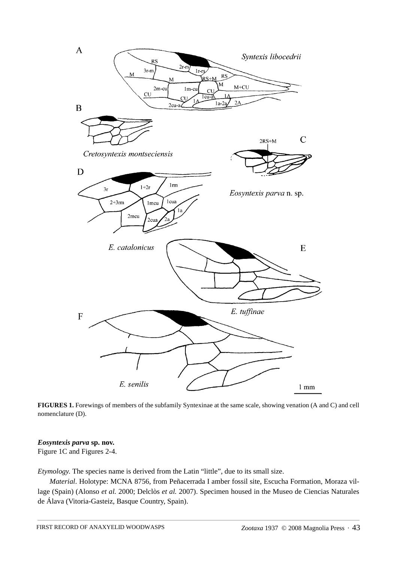

**FIGURES 1.** Forewings of members of the subfamily Syntexinae at the same scale, showing venation (A and C) and cell nomenclature (D).

## *Eosyntexis parva* **sp. nov.**

Figure 1C and Figures 2-4.

*Etymology*. The species name is derived from the Latin "little", due to its small size.

*Material*. Holotype: MCNA 8756, from Peñacerrada I amber fossil site, Escucha Formation, Moraza village (Spain) (Alonso *et al.* 2000; Delclòs *et al.* 2007). Specimen housed in the Museo de Ciencias Naturales de Álava (Vitoria-Gasteiz, Basque Country, Spain).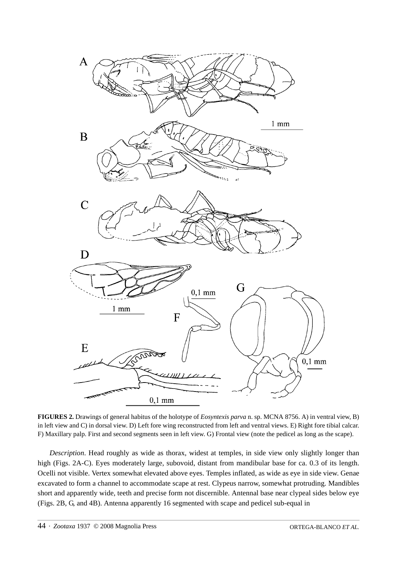

**FIGURES 2.** Drawings of general habitus of the holotype of *Eosyntexis parva* n. sp. MCNA 8756. A) in ventral view, B) in left view and C) in dorsal view. D) Left fore wing reconstructed from left and ventral views. E) Right fore tibial calcar. F) Maxillary palp. First and second segments seen in left view. G) Frontal view (note the pedicel as long as the scape).

*Description*. Head roughly as wide as thorax, widest at temples, in side view only slightly longer than high (Figs. 2A-C). Eyes moderately large, subovoid, distant from mandibular base for ca. 0.3 of its length. Ocelli not visible. Vertex somewhat elevated above eyes. Temples inflated, as wide as eye in side view. Genae excavated to form a channel to accommodate scape at rest. Clypeus narrow, somewhat protruding. Mandibles short and apparently wide, teeth and precise form not discernible. Antennal base near clypeal sides below eye (Figs. 2B, G, and 4B). Antenna apparently 16 segmented with scape and pedicel sub-equal in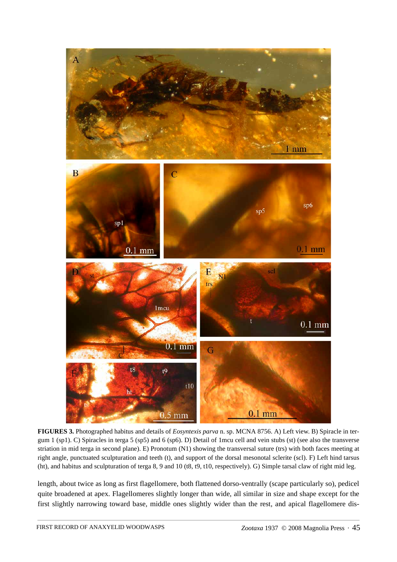

**FIGURES 3.** Photographed habitus and details of *Eosyntexis parva* n. sp. MCNA 8756. A) Left view. B) Spiracle in tergum 1 (sp1). C) Spiracles in terga 5 (sp5) and 6 (sp6). D) Detail of 1mcu cell and vein stubs (st) (see also the transverse striation in mid terga in second plane). E) Pronotum (N1) showing the transversal suture (trs) with both faces meeting at right angle, punctuated sculpturation and teeth (t), and support of the dorsal mesonotal sclerite (scl). F) Left hind tarsus (ht), and habitus and sculpturation of terga 8, 9 and 10 (t8, t9, t10, respectively). G) Simple tarsal claw of right mid leg.

length, about twice as long as first flagellomere, both flattened dorso-ventrally (scape particularly so), pedicel quite broadened at apex. Flagellomeres slightly longer than wide, all similar in size and shape except for the first slightly narrowing toward base, middle ones slightly wider than the rest, and apical flagellomere dis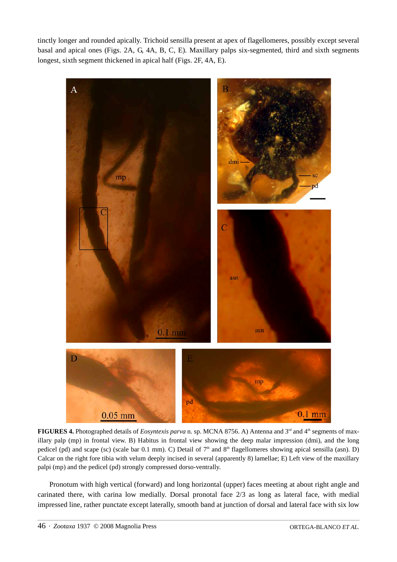tinctly longer and rounded apically. Trichoid sensilla present at apex of flagellomeres, possibly except several basal and apical ones (Figs. 2A, G, 4A, B, C, E). Maxillary palps six-segmented, third and sixth segments longest, sixth segment thickened in apical half (Figs. 2F, 4A, E).



**FIGURES 4.** Photographed details of *Eosyntexis parva* n. sp. MCNA 8756. A) Antenna and  $3^{rd}$  and  $4^{th}$  segments of maxillary palp (mp) in frontal view. B) Habitus in frontal view showing the deep malar impression (dmi), and the long pedicel (pd) and scape (sc) (scale bar 0.1 mm). C) Detail of  $7<sup>th</sup>$  and  $8<sup>th</sup>$  flagellomeres showing apical sensilla (asn). D) Calcar on the right fore tibia with velum deeply incised in several (apparently 8) lamellae; E) Left view of the maxillary palpi (mp) and the pedicel (pd) strongly compressed dorso-ventrally.

Pronotum with high vertical (forward) and long horizontal (upper) faces meeting at about right angle and carinated there, with carina low medially. Dorsal pronotal face 2/3 as long as lateral face, with medial impressed line, rather punctate except laterally, smooth band at junction of dorsal and lateral face with six low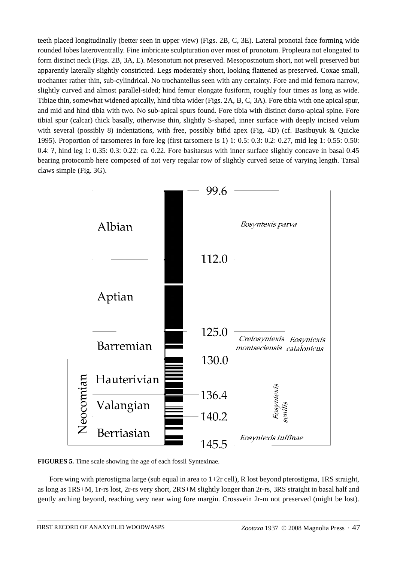teeth placed longitudinally (better seen in upper view) (Figs. 2B, C, 3E). Lateral pronotal face forming wide rounded lobes lateroventrally. Fine imbricate sculpturation over most of pronotum. Propleura not elongated to form distinct neck (Figs. 2B, 3A, E). Mesonotum not preserved. Mesopostnotum short, not well preserved but apparently laterally slightly constricted. Legs moderately short, looking flattened as preserved. Coxae small, trochanter rather thin, sub-cylindrical. No trochantellus seen with any certainty. Fore and mid femora narrow, slightly curved and almost parallel-sided; hind femur elongate fusiform, roughly four times as long as wide. Tibiae thin, somewhat widened apically, hind tibia wider (Figs. 2A, B, C, 3A). Fore tibia with one apical spur, and mid and hind tibia with two. No sub-apical spurs found. Fore tibia with distinct dorso-apical spine. Fore tibial spur (calcar) thick basally, otherwise thin, slightly S-shaped, inner surface with deeply incised velum with several (possibly 8) indentations, with free, possibly bifid apex (Fig. 4D) (cf. Basibuyuk & Quicke 1995). Proportion of tarsomeres in fore leg (first tarsomere is 1) 1: 0.5: 0.3: 0.2: 0.27, mid leg 1: 0.55: 0.50: 0.4: ?, hind leg 1: 0.35: 0.3: 0.22: ca. 0.22. Fore basitarsus with inner surface slightly concave in basal 0.45 bearing protocomb here composed of not very regular row of slightly curved setae of varying length. Tarsal claws simple (Fig. 3G).



**FIGURES 5.** Time scale showing the age of each fossil Syntexinae.

Fore wing with pterostigma large (sub equal in area to  $1+2r$  cell), R lost beyond pterostigma, 1RS straight, as long as 1RS+M, 1r-rs lost, 2r-rs very short, 2RS+M slightly longer than 2r-rs, 3RS straight in basal half and gently arching beyond, reaching very near wing fore margin. Crossvein 2r-m not preserved (might be lost).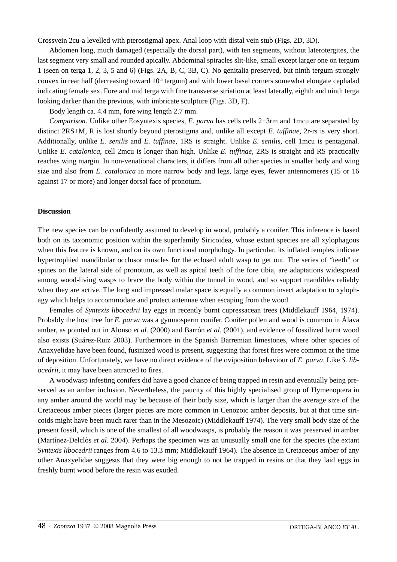Crossvein 2cu-a levelled with pterostigmal apex. Anal loop with distal vein stub (Figs. 2D, 3D).

Abdomen long, much damaged (especially the dorsal part), with ten segments, without laterotergites, the last segment very small and rounded apically. Abdominal spiracles slit-like, small except larger one on tergum 1 (seen on terga 1, 2, 3, 5 and 6) (Figs. 2A, B, C, 3B, C). No genitalia preserved, but ninth tergum strongly convex in rear half (decreasing toward  $10<sup>th</sup>$  tergum) and with lower basal corners somewhat elongate cephalad indicating female sex. Fore and mid terga with fine transverse striation at least laterally, eighth and ninth terga looking darker than the previous, with imbricate sculpture (Figs. 3D, F).

Body length ca. 4.4 mm, fore wing length 2.7 mm.

*Comparison*. Unlike other Eosyntexis species, *E. parva* has cells cells 2+3rm and 1mcu are separated by distinct 2RS+M, R is lost shortly beyond pterostigma and, unlike all except *E. tuffinae,* 2r-rs is very short. Additionally, unlike *E. senilis* and *E. tuffinae*, 1RS is straight. Unlike *E. senilis*, cell 1mcu is pentagonal. Unlike *E. catalonica*, cell 2mcu is longer than high. Unlike *E. tuffinae*, 2RS is straight and RS practically reaches wing margin. In non-venational characters, it differs from all other species in smaller body and wing size and also from *E. catalonica* in more narrow body and legs, large eyes, fewer antennomeres (15 or 16 against 17 or more) and longer dorsal face of pronotum.

#### **Discussion**

The new species can be confidently assumed to develop in wood, probably a conifer. This inference is based both on its taxonomic position within the superfamily Siricoidea, whose extant species are all xylophagous when this feature is known, and on its own functional morphology. In particular, its inflated temples indicate hypertrophied mandibular occlusor muscles for the eclosed adult wasp to get out. The series of "teeth" or spines on the lateral side of pronotum, as well as apical teeth of the fore tibia, are adaptations widespread among wood-living wasps to brace the body within the tunnel in wood, and so support mandibles reliably when they are active. The long and impressed malar space is equally a common insect adaptation to xylophagy which helps to accommodate and protect antennae when escaping from the wood.

Females of *Syntexis libocedrii* lay eggs in recently burnt cupressacean trees (Middlekauff 1964, 1974). Probably the host tree for *E. parva* was a gymnosperm conifer*.* Conifer pollen and wood is common in Álava amber, as pointed out in Alonso *et al.* (2000) and Barrón *et al*. (2001), and evidence of fossilized burnt wood also exists (Suárez-Ruiz 2003). Furthermore in the Spanish Barremian limestones, where other species of Anaxyelidae have been found, fusinized wood is present, suggesting that forest fires were common at the time of deposition. Unfortunately, we have no direct evidence of the oviposition behaviour of *E. parva*. Like *S. libocedrii*, it may have been attracted to fires.

A woodwasp infesting conifers did have a good chance of being trapped in resin and eventually being preserved as an amber inclusion. Nevertheless, the paucity of this highly specialised group of Hymenoptera in any amber around the world may be because of their body size, which is larger than the average size of the Cretaceous amber pieces (larger pieces are more common in Cenozoic amber deposits, but at that time siricoids might have been much rarer than in the Mesozoic) (Middlekauff 1974). The very small body size of the present fossil, which is one of the smallest of all woodwasps, is probably the reason it was preserved in amber (Martínez-Delclòs *et al.* 2004). Perhaps the specimen was an unusually small one for the species (the extant *Syntexis libocedrii* ranges from 4.6 to 13.3 mm; Middlekauff 1964). The absence in Cretaceous amber of any other Anaxyelidae suggests that they were big enough to not be trapped in resins or that they laid eggs in freshly burnt wood before the resin was exuded.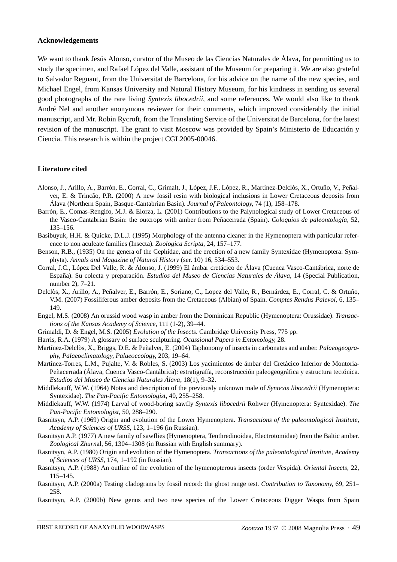#### **Acknowledgements**

We want to thank Jesús Alonso, curator of the Museo de las Ciencias Naturales de Álava, for permitting us to study the specimen, and Rafael López del Valle, assistant of the Museum for preparing it. We are also grateful to Salvador Reguant, from the Universitat de Barcelona, for his advice on the name of the new species, and Michael Engel, from Kansas University and Natural History Museum, for his kindness in sending us several good photographs of the rare living *Syntexis libocedrii*, and some references. We would also like to thank André Nel and another anonymous reviewer for their comments, which improved considerably the initial manuscript, and Mr. Robin Rycroft, from the Translating Service of the Universitat de Barcelona, for the latest revision of the manuscript. The grant to visit Moscow was provided by Spain's Ministerio de Educación y Ciencia. This research is within the project CGL2005-00046.

#### **Literature cited**

- Alonso, J., Arillo, A., Barrón, E., Corral, C., Grimalt, J., López, J.F., López, R., Martínez-Delclòs, X., Ortuño, V., Peñalver, E. & Trincão, P.R. (2000) A new fossil resin with biological inclusions in Lower Cretaceous deposits from Álava (Northern Spain, Basque-Cantabrian Basin). *Journal of Paleontology*, 74 (1), 158–178.
- Barrón, E., Comas-Rengifo, M.J. & Elorza, L. (2001) Contributions to the Palynological study of Lower Cretaceous of the Vasco-Cantabrian Basin: the outcrops with amber from Peñacerrada (Spain). *Coloquios de paleontología*, 52, 135–156.
- Basibuyuk, H.H. & Quicke, D.L.J. (1995) Morphology of the antenna cleaner in the Hymenoptera with particular reference to non aculeate families (Insecta). *Zoologica Scripta*, 24, 157–177.
- Benson, R.B., (1935) On the genera of the Cephidae, and the erection of a new family Syntexidae (Hymenoptera: Symphyta). *Annals and Magazine of Natural History* (ser. 10) 16, 534–553.
- Corral, J.C., López Del Valle, R. & Alonso, J. (1999) El ámbar cretácico de Álava (Cuenca Vasco-Cantábrica, norte de España). Su colecta y preparación. *Estudios del Museo de Ciencias Naturales de Álava,* 14 (Special Publication, number 2), 7–21.
- Delclòs, X., Arillo, A., Peñalver, E., Barrón, E., Soriano, C., Lopez del Valle, R., Bernárdez, E., Corral, C. & Ortuño, V.M. (2007) Fossiliferous amber deposits from the Cretaceous (Albian) of Spain. *Comptes Rendus Palevol*, 6, 135– 149.
- Engel, M.S. (2008) An orussid wood wasp in amber from the Dominican Republic (Hymenoptera: Orussidae). *Transactions of the Kansas Academy of Science*, 111 (1-2), 39–44.
- Grimaldi, D. & Engel, M.S. (2005) *Evolution of the Insects*. Cambridge University Press, 775 pp.
- Harris, R.A. (1979) A glossary of surface sculpturing. *Ocassional Papers in Entomology*, 28.
- Martínez-Delclòs, X., Briggs, D.E. & Peñalver, E. (2004) Taphonomy of insects in carbonates and amber. *Palaeogeography, Palaeoclimatology, Palaeoecology*, 203, 19–64.
- Martínez-Torres, L.M., Pujalte, V. & Robles, S. (2003) Los yacimientos de ámbar del Cretácico Inferior de Montoria-Peñacerrada (Álava, Cuenca Vasco-Cantábrica): estratigrafía, reconstrucción paleogeográfica y estructura tectónica. *Estudios del Museo de Ciencias Naturales Álava*, 18(1), 9–32.
- Middlekauff, W.W. (1964) Notes and description of the previously unknown male of *Syntexis libocedrii* (Hymenoptera: Syntexidae). *The Pan-Pacific Entomologist*, 40, 255–258.
- Middlekauff, W.W. (1974) Larval of wood-boring sawfly *Syntexis libocedrii* Rohwer (Hymenoptera: Syntexidae). *The Pan-Pacific Entomologist*, 50, 288–290.
- Rasnitsyn, A.P. (1969) Origin and evolution of the Lower Hymenoptera. *Transactions of the paleontological Institute, Academy of Sciences of URSS*, 123, 1–196 (in Russian).
- Rasnitsyn A.P. (1977) A new family of sawflies (Hymenoptera, Tenthredinoidea, Electrotomidae) from the Baltic amber. *Zoological Zhurn*al, 56, 1304–1308 (in Russian with English summary).
- Rasnitsyn, A.P. (1980) Origin and evolution of the Hymenoptera. *Transactions of the paleontological Institute, Academy of Sciences of URSS*, 174, 1–192 (in Russian).
- Rasnitsyn, A.P. (1988) An outline of the evolution of the hymenopterous insects (order Vespida). *Oriental Insects*, 22, 115–145.
- Rasnitsyn, A.P. (2000a) Testing cladograms by fossil record: the ghost range test. *Contribution to Taxonomy*, 69, 251– 258.
- Rasnitsyn, A.P. (2000b) New genus and two new species of the Lower Cretaceous Digger Wasps from Spain